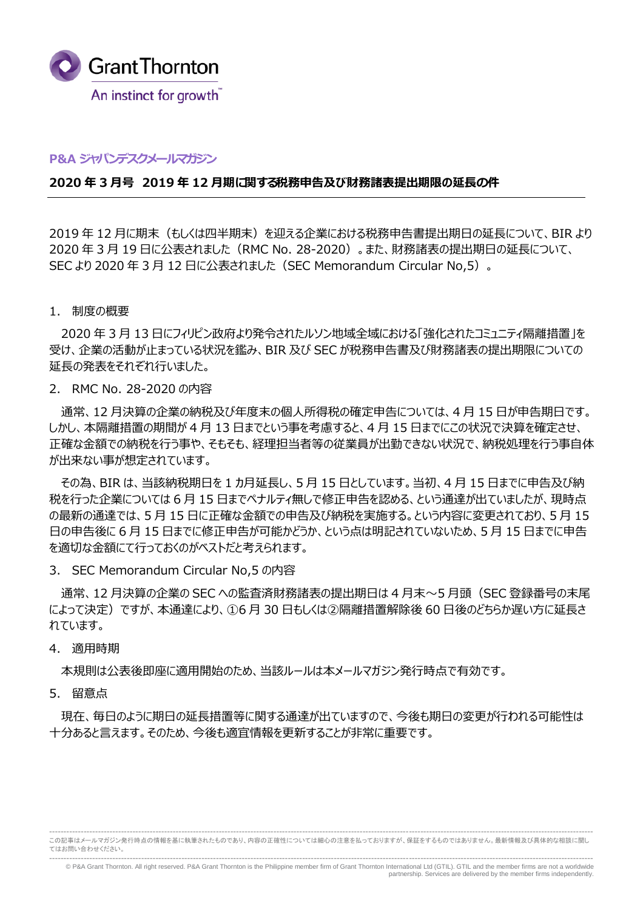

#### **P&A ジャパンデスクメールマガジン**

#### 2020 年 3 月号 2019 年 12 月期に関する税務申告及び財務諸表提出期限の延長の件

2019 年 12 月に期末(もしくは四半期末)を迎える企業における税務申告書提出期日の延長について、BIR より 2020 年 3 月 19 日に公表されました (RMC No. 28-2020) 。また、財務諸表の提出期日の延長について、 SEC より 2020 年 3 月 12 日に公表されました(SEC Memorandum Circular No,5)。

#### 1. 制度の概要

2020 年 3 月 13 ⽇にフィリピン政府より発令されたルソン地域全域における「強化されたコミュニティ隔離措置」を 受け、企業の活動が止まっている状況を鑑み、BIR 及び SEC が税務申告書及び財務諸表の提出期限についての 延⻑の発表をそれぞれ⾏いました。

2. RMC No. 28-2020 の内容

通常、12 月決算の企業の納税及び年度末の個人所得税の確定申告については、4 月 15 日が申告期日です。 しかし、本隔離措置の期間が 4 月 13 日までという事を考慮すると、4 月 15 日までにこの状況で決算を確定させ、 正確な金額での納税を行う事や、そもそも、経理担当者等の従業員が出勤できない状況で、納税処理を行う事自体 が出来ない事が想定されています。

その為、BIR は、当該納税期日を 1 カ月延長し、5月 15 日としています。当初、4月 15 日までに申告及び納 税を⾏った企業については 6 月 15 日までペナルティ無しで修正申告を認める、という通達が出ていましたが、現時点 の最新の通達では、5 月 15 日に正確な金額での申告及び納税を実施する。という内容に変更されており、5 月 15 日の申告後に 6 月 15 日までに修正申告が可能かどうか、という点は明記されていないため、5 月 15 日までに申告 を適切な⾦額にて⾏っておくのがベストだと考えられます。

3. SEC Memorandum Circular No,5 の内容

通常、12 月決算の企業の SEC への監査済財務諸表の提出期日は 4 月末~5 月頭 (SEC 登録番号の末尾 によって決定)ですが、本通達により、①6 月 30 日もしくは②隔離措置解除後 60 日後のどちらか遅い方に延長さ れています。

#### 4. 適用時期

本規則は公表後即座に適⽤開始のため、当該ルールは本メールマガジン発⾏時点で有効です。

5. 留意点

現在、毎日のように期日の延長措置等に関する通達が出ていますので、今後も期日の変更が行われる可能性は 十分あると言えます。そのため、今後も適宜情報を更新することが⾮常に重要です。

<sup>---------------------------------------------------------------------------------------------------------------------------------------------------------------------------------------------</sup> この記事はメールマガジン発行時点の情報を基に執筆されたものであり、内容の正確性については細心の注意を払っておりますが、保証をするものではありません。最新情報及び具体的な相談に関し てはお問い合わせください。

<sup>---------------------------------------------------------------------------------------------------------------------------------------------------------------------------------------------</sup> © P&A Grant Thornton. All right reserved. P&A Grant Thornton is the Philippine member firm of Grant Thornton International Ltd (GTIL). GTIL and the member firms are not a worldwide partnership. Services are delivered by the member firms independently.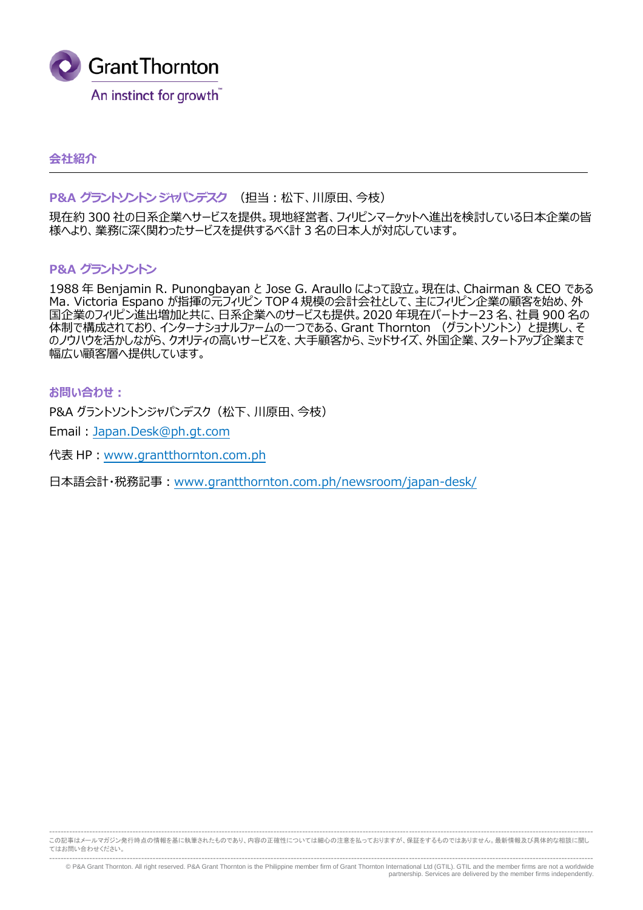

# **会社紹介**

## **P&A グラントソントン ジャパンデスク** (担当︓松下、川原⽥、今枝)

現在約 300 社の日系企業へサービスを提供。現地経営者、フィリピンマーケットへ進出を検討している日本企業の皆 様へより、業務に深く関わったサービスを提供するべく計 3 名の日本人が対応しています。

## **P&A グラントソントン**

1988 年 Benjamin R. Punongbayan と Jose G. Araullo によって設立。現在は、Chairman & CEO である Ma. Victoria Espano が指揮の元フィリピン TOP4規模の会計会社として、主にフィリピン企業の顧客を始め、外 国企業のフィリピン進出増加と共に、日系企業へのサービスも提供。2020 年現在パートナー23 名、社員 900 名の ロエス・シントンコン全出 ログビン ハビ、ログハエス、 ハンフ コンハンスレ ハコンロー ファルス・・・・ フロー・エンジン ロバコ のノウハウを活かしながら、クオリティの高いサービスを、大手顧客から、ミッドサイズ、外国企業、スタートアップ企業まで 幅広い顧客層へ提供しています。

#### お問い合わせ:

P&A グラントソントンジャパンデスク (松下、川原田、今枝)

Email︓Japan.Desk@ph.gt.com

代表 HP : www.grantthornton.com.ph

日本語会計・税務記事: www.grantthornton.com.ph/newsroom/japan-desk/

--------------------------------------------------------------------------------------------------------------------------------------------------------------------------------------------- この記事はメールマガジン発行時点の情報を基に執筆されたものであり、内容の正確性については細心の注意を払っておりますが、保証をするものではありません。最新情報及び具体的な相談に関し てはお問い合わせください。

--------------------------------------------------------------------------------------------------------------------------------------------------------------------------------------------- © P&A Grant Thornton. All right reserved. P&A Grant Thornton is the Philippine member firm of Grant Thornton International Ltd (GTIL). GTIL and the member firms are not a worldwide partnership. Services are delivered by the member firms independently.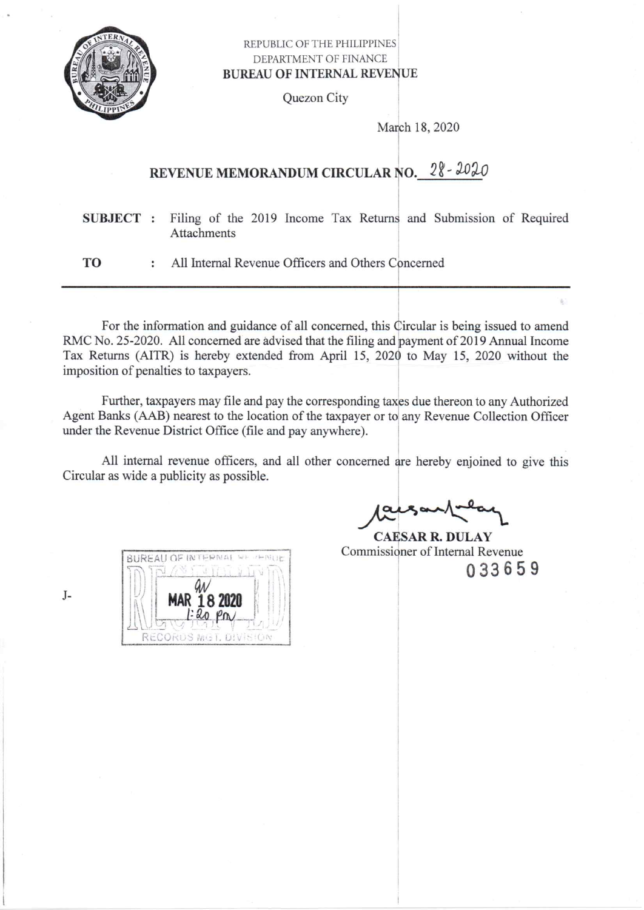

## REPUBLIC OF THE PHILIPPINES DEPARTMENT OF FINANCE **BUREAU OF INTERNAL REVENUE**

Quezon City

March 18, 2020

# REVENUE MEMORANDUM CIRCULAR NO. 28-2020

Filing of the 2019 Income Tax Returns and Submission of Required SUBJECT : **Attachments** 

TO All Internal Revenue Officers and Others Concerned  $\ddot{\phantom{a}}$ 

For the information and guidance of all concerned, this Circular is being issued to amend RMC No. 25-2020. All concerned are advised that the filing and payment of 2019 Annual Income Tax Returns (AITR) is hereby extended from April 15, 2020 to May 15, 2020 without the imposition of penalties to taxpayers.

Further, taxpayers may file and pay the corresponding taxes due thereon to any Authorized Agent Banks (AAB) nearest to the location of the taxpayer or to any Revenue Collection Officer under the Revenue District Office (file and pay anywhere).

All internal revenue officers, and all other concerned are hereby enjoined to give this Circular as wide a publicity as possible.

**BUREAU OF INTERNAL** MAR 18 2020

 $120$  Pm

RECORDS MG1. DIVISION

**CAESAR R. DULAY** Commissioner of Internal Revenue 033659

 $J-$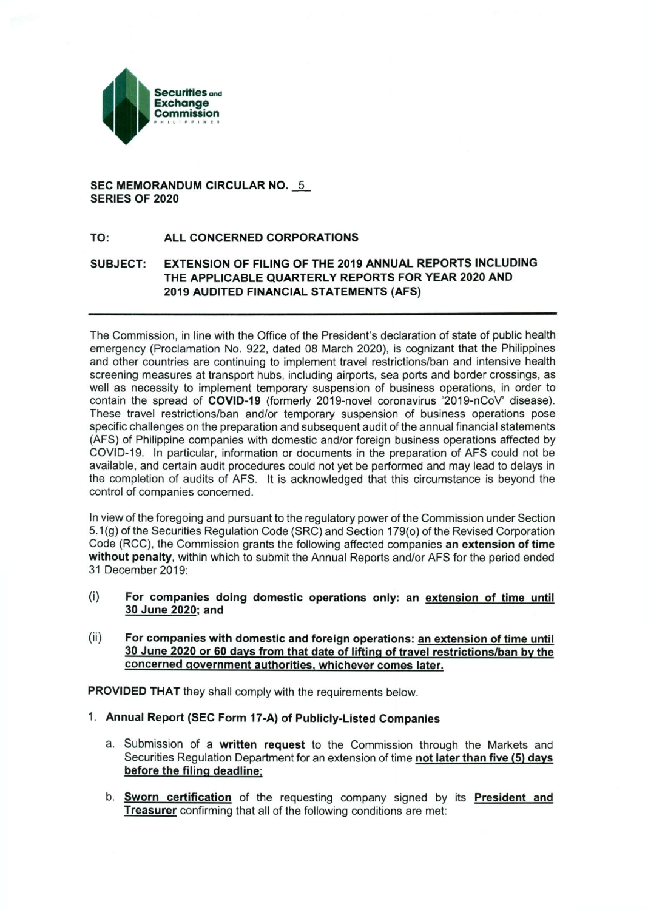

#### **SEC MEMORANDUM CIRCULAR NO. 5 SERIES OF 2020**

#### **TO: ALL CONCERNED CORPORATIONS**

### **SUBJECT: EXTENSION OF FILING OF THE 2019 ANNUAL REPORTS INCLUDING THE APPLICABLE QUARTERLY REPORTS FOR YEAR 2020 AND 2019 AUDITED FINANCIAL STATEMENTS (AFS)**

The Commission, in line with the Office of the President's declaration of state of public health emergency (Proclamation No. 922, dated 08 March 2020), is cognizant that the Philippines and other countries are continuing to implement travel restrictions/ban and intensive health screening measures at transport hubs, including airports, sea ports and border crossings, as well as necessity to implement temporary suspension of business operations, in order to contain the spread of **COVID-19** (formerly 2019-novel coronavirus '2019-nCoV' disease). These travel restrictions/ban and/or temporary suspension of business operations pose specific challenges on the preparation and subsequent audit of the annual financial statements (AFS) of Philippine companies with domestic and/or foreign business operations affected by COVID-19. In particular, information or documents in the preparation of AFS could not be available, and certain audit procedures could not yet be performed and may lead to delays in the completion of audits of AFS. It is acknowledged that this circumstance is beyond the control of companies concerned.

In view of the foregoing and pursuant to the regulatory power of the Commission under Section 5.1(g) of the Securities Regulation Code (SRC) and Section 179(o) of the Revised Corporation Code (RCC), the Commission grants the following affected companies **an extension of time without penalty,** within which to submit the Annual Reports and/or AFS for the period ended 31 December 2019:

- (i) **For companies doing domestic operations only: an extension of time until 30 June 2020: and**
- (ii) **For companies with domestic and foreign operations: an extension of time until 30 June 2020 or 60 days from that date of lifting of travel restrictions/ban by the concerned government authorities, whichever comes later.**

**PROVIDED THAT** they shall comply with the requirements below.

- 1 **Annual Report (SEC Form 17-A) of Publicly-Listed Companies** 
	- a. Submission of a **written request** to the Commission through the Markets and Securities Regulation Department for an extension of time **not later than five (5) days before the filing deadline;**
	- b. **Sworn certification** of the requesting company signed by its **President and Treasurer** confirming that all of the following conditions are met: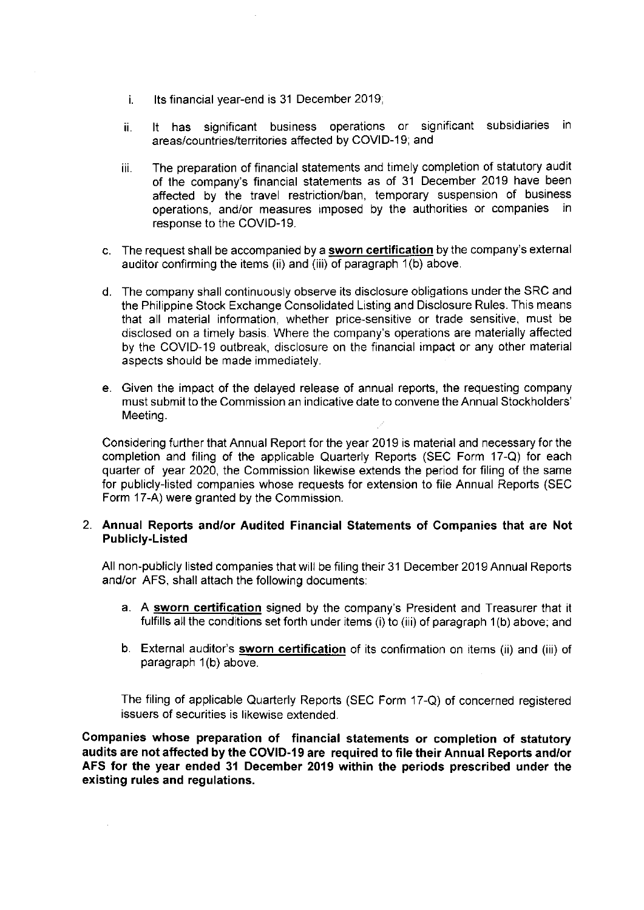- i. Its financial year-end is 31 December 2019;
- ii. It has significant business operations or significant subsidiaries in areas/countries/territories affected by COVID-19; and
- iii. The preparation of financial statements and timely completion of statutory audit of the company's financial statements as of 31 December 2019 have been affected by the travel restriction/ban, temporary suspension of business operations, and/or measures imposed by the authorities or companies in response to the COVID-19.
- c. The request shall be accompanied by a **sworn certification** by the company's external auditor confirming the items (ii) and (iii) of paragraph 1(b) above.
- d. The company shall continuously observe its disclosure obligations under the SRC and the Philippine Stock Exchange Consolidated Listing and Disclosure Rules. This means that all material information, whether price-sensitive or trade sensitive, must be disclosed on a timely basis. Where the company's operations are materially affected by the COVID-19 outbreak, disclosure on the financial impact or any other material aspects should be made immediately.
- e. Given the impact of the delayed release of annual reports, the requesting company must submit to the Commission an indicative date to convene the Annual Stockholders' Meeting.

Considering further that Annual Report for the year 2019 is material and necessary for the completion and filing of the applicable Quarterly Reports (SEC Form 17-Q) for each quarter of year 2020, the Commission likewise extends the period for filing of the same for publicly-listed companies whose requests for extension to file Annual Reports (SEC Form 17-A) were granted by the Commission.

#### 2. **Annual Reports and/or Audited Financial Statements of Companies that are Not Publicly-Listed**

All non-publicly listed companies that will be filing their 31 December 2019 Annual Reports and/or AFS, shall attach the following documents:

- a. A **sworn certification** signed by the company's President and Treasurer that it fulfills all the conditions set forth under items (i) to (iii) of paragraph 1(b) above; and
- b. External auditor's **sworn certification** of its confirmation on items (ii) and (iii) of paragraph 1(b) above.

The filing of applicable Quarterly Reports (SEC Form 17-Q) of concerned registered issuers of securities is likewise extended.

**Companies whose preparation of financial statements or completion of statutory audits are not affected by the COVID-19 are required to file their Annual Reports and/or A FS for the year ended 31 December 2019 within the periods prescribed under the existing rules and regulations.**